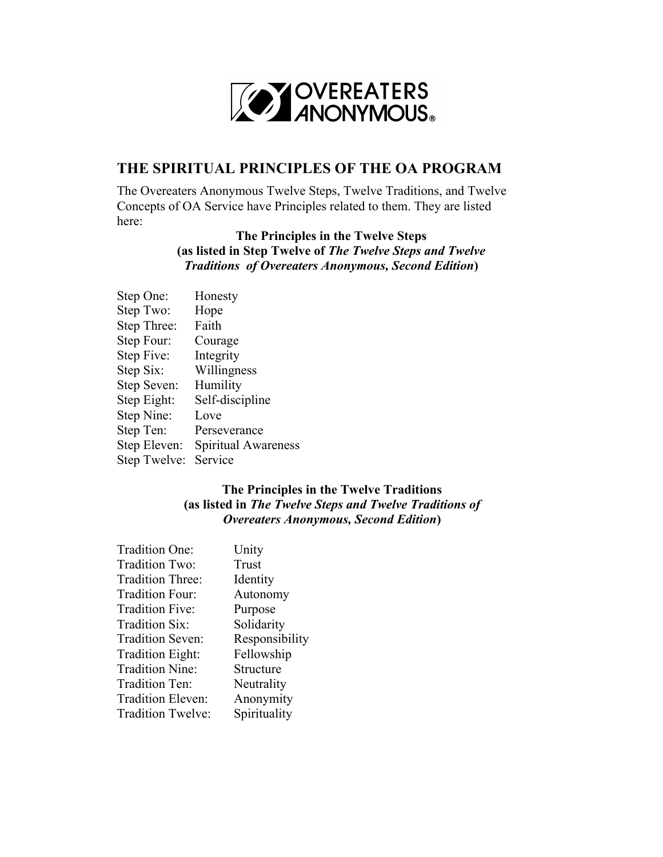

## **THE SPIRITUAL PRINCIPLES OF THE OA PROGRAM**

The Overeaters Anonymous Twelve Steps, Twelve Traditions, and Twelve Concepts of OA Service have Principles related to them. They are listed here:

## **The Principles in the Twelve Steps (as listed in Step Twelve of** *The Twelve Steps and Twelve Traditions of Overeaters Anonymous, Second Edition***)**

| Step One:    | Honesty             |
|--------------|---------------------|
| Step Two:    | Hope                |
| Step Three:  | Faith               |
| Step Four:   | Courage             |
| Step Five:   | Integrity           |
| Step Six:    | Willingness         |
| Step Seven:  | Humility            |
| Step Eight:  | Self-discipline     |
| Step Nine:   | Love                |
| Step Ten:    | Perseverance        |
| Step Eleven: | Spiritual Awareness |
| Step Twelve: | Service             |
|              |                     |

## **The Principles in the Twelve Traditions (as listed in** *The Twelve Steps and Twelve Traditions of Overeaters Anonymous, Second Edition***)**

| Tradition One:          | Unity          |
|-------------------------|----------------|
| Tradition Two:          | Trust          |
| Tradition Three:        | Identity       |
| Tradition Four:         | Autonomy       |
| Tradition Five:         | Purpose        |
| Tradition Six:          | Solidarity     |
| <b>Tradition Seven:</b> | Responsibility |
| Tradition Eight:        | Fellowship     |
| <b>Tradition Nine:</b>  | Structure      |
| Tradition Ten:          | Neutrality     |
| Tradition Eleven:       | Anonymity      |
| Tradition Twelve:       | Spirituality   |
|                         |                |